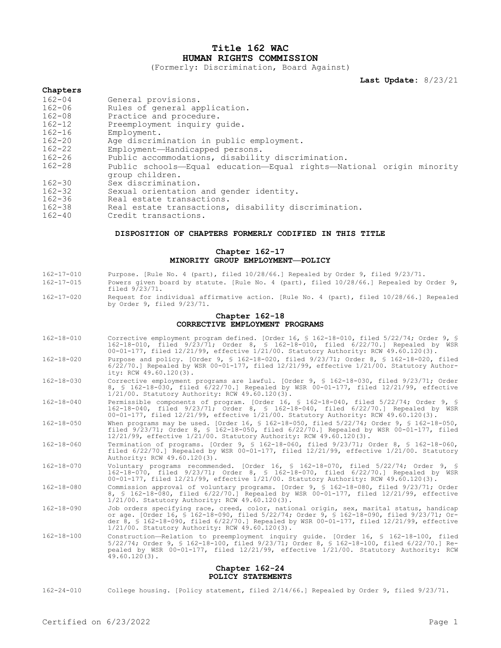# **Title 162 WAC HUMAN RIGHTS COMMISSION**

(Formerly: Discrimination, Board Against)

**Last Update:** 8/23/21

## **Chapters**

| $162 - 04$ | General provisions.                                                                     |
|------------|-----------------------------------------------------------------------------------------|
| $162 - 06$ | Rules of general application.                                                           |
| $162 - 08$ | Practice and procedure.                                                                 |
| $162 - 12$ | Preemployment inquiry quide.                                                            |
| $162 - 16$ | Employment.                                                                             |
| $162 - 20$ | Age discrimination in public employment.                                                |
| $162 - 22$ | Employment-Handicapped persons.                                                         |
| $162 - 26$ | Public accommodations, disability discrimination.                                       |
| $162 - 28$ | Public schools-Equal education-Equal rights-National origin minority<br>group children. |
| $162 - 30$ | Sex discrimination.                                                                     |
| $162 - 32$ | Sexual orientation and gender identity.                                                 |
| $162 - 36$ | Real estate transactions.                                                               |
| $162 - 38$ | Real estate transactions, disability discrimination.                                    |
| $162 - 40$ | Credit transactions.                                                                    |

#### **DISPOSITION OF CHAPTERS FORMERLY CODIFIED IN THIS TITLE**

## **Chapter 162-17 MINORITY GROUP EMPLOYMENT—POLICY**

- 162-17-010 Purpose. [Rule No. 4 (part), filed 10/28/66.] Repealed by Order 9, filed 9/23/71.
- 162-17-015 Powers given board by statute. [Rule No. 4 (part), filed 10/28/66.] Repealed by Order 9, filed 9/23/71.
- 162-17-020 Request for individual affirmative action. [Rule No. 4 (part), filed 10/28/66.] Repealed by Order 9, filed 9/23/71.

#### **Chapter 162-18 CORRECTIVE EMPLOYMENT PROGRAMS**

- 162-18-010 Corrective employment program defined. [Order 16, § 162-18-010, filed 5/22/74; Order 9, § 162-18-010, filed 9/23/71; Order 8, § 162-18-010, filed 6/22/70.] Repealed by WSR 00-01-177, filed 12/21/99, effective 1/21/00. Statutory Authority: RCW 49.60.120(3).
- 162-18-020 Purpose and policy. [Order 9, § 162-18-020, filed 9/23/71; Order 8, § 162-18-020, filed 6/22/70.] Repealed by WSR 00-01-177, filed 12/21/99, effective 1/21/00. Statutory Authority: RCW 49.60.120(3).
- 162-18-030 Corrective employment programs are lawful. [Order 9, § 162-18-030, filed 9/23/71; Order 8, § 162-18-030, filed 6/22/70.] Repealed by WSR 00-01-177, filed 12/21/99, effective 1/21/00. Statutory Authority: RCW 49.60.120(3).
- 162-18-040 Permissible components of program. [Order 16, § 162-18-040, filed 5/22/74; Order 9, § 162-18-040, filed 9/23/71; Order 8, § 162-18-040, filed 6/22/70.] Repealed by WSR 00-01-177, filed 12/21/99, effective 1/21/00. Statutory Authority: RCW 49.60.120(3).
- 162-18-050 When programs may be used. [Order 16, § 162-18-050, filed 5/22/74; Order 9, § 162-18-050, filed 9/23/71; Order 8, § 162-18-050, filed 6/22/70.] Repealed by WSR 00-01-177, filed 12/21/99, effective 1/21/00. Statutory Authority: RCW 49.60.120(3).
- 162-18-060 Termination of programs. [Order 9, § 162-18-060, filed 9/23/71; Order 8, § 162-18-060, filed 6/22/70.] Repealed by WSR 00-01-177, filed 12/21/99, effective 1/21/00. Statutory Authority: RCW 49.60.120(3).
- 162-18-070 Voluntary programs recommended. [Order 16, § 162-18-070, filed 5/22/74; Order 9, § 162-18-070, filed 9/23/71; Order 8, § 162-18-070, filed 6/22/70.] Repealed by WSR 00-01-177, filed 12/21/99, effective 1/21/00. Statutory Authority: RCW 49.60.120(3).
- 162-18-080 Commission approval of voluntary programs. [Order 9, § 162-18-080, filed 9/23/71; Order 8, § 162-18-080, filed 6/22/70.] Repealed by WSR 00-01-177, filed 12/21/99, effective 1/21/00. Statutory Authority: RCW 49.60.120(3).
- 162-18-090 Job orders specifying race, creed, color, national origin, sex, marital status, handicap or age. [Order 16, § 162-18-090, filed 5/22/74; Order 9, § 162-18-090, filed 9/23/71; Order 8, § 162-18-090, filed 6/22/70.] Repealed by WSR 00-01-177, filed 12/21/99, effective 1/21/00. Statutory Authority: RCW 49.60.120(3).
- 162-18-100 Construction—Relation to preemployment inquiry guide. [Order 16, § 162-18-100, filed<br>5/22/74; Order 9, § 162-18-100, filed 9/23/71; Order 8, § 162-18-100, filed 6/22/70.] Re-<br>pealed by WSR 00-01-177, filed 12  $49.60.120(3)$ .

### **Chapter 162-24 POLICY STATEMENTS**

162-24-010 College housing. [Policy statement, filed 2/14/66.] Repealed by Order 9, filed 9/23/71.